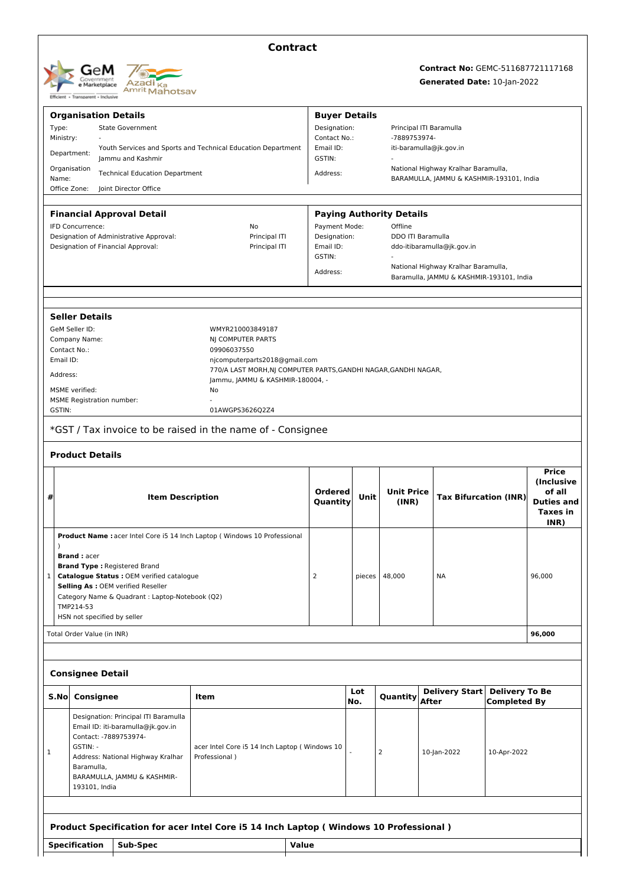| <b>GeM</b><br>Government<br>e Marketplace     | Azadi <sub>ka</sub><br>Amrit Mahotsav |
|-----------------------------------------------|---------------------------------------|
| Transparent - Inclusive<br><b>Efficient +</b> |                                       |

# **Contract**

# **Contract No:** GEMC-511687721117168

## **Generated Date:** 10-Jan-2022

|                                         |                                                                                                  |                                                                                       |                                                                                                     | <b>Buyer Details</b>                                                                        |            |                                         |                                                                                 |                                              |                             |
|-----------------------------------------|--------------------------------------------------------------------------------------------------|---------------------------------------------------------------------------------------|-----------------------------------------------------------------------------------------------------|---------------------------------------------------------------------------------------------|------------|-----------------------------------------|---------------------------------------------------------------------------------|----------------------------------------------|-----------------------------|
|                                         | <b>Organisation Details</b><br>Type:<br><b>State Government</b>                                  |                                                                                       | Designation:                                                                                        |                                                                                             |            | Principal ITI Baramulla                 |                                                                                 |                                              |                             |
|                                         | Ministry:                                                                                        |                                                                                       |                                                                                                     | Contact No.:                                                                                |            | -7889753974-                            |                                                                                 |                                              |                             |
|                                         | Youth Services and Sports and Technical Education Department<br>Department:<br>Jammu and Kashmir |                                                                                       |                                                                                                     | Email ID:<br>GSTIN:                                                                         |            | iti-baramulla@jk.gov.in                 |                                                                                 |                                              |                             |
| Name:                                   | Organisation                                                                                     | <b>Technical Education Department</b>                                                 |                                                                                                     | National Highway Kralhar Baramulla,<br>Address:<br>BARAMULLA, JAMMU & KASHMIR-193101, India |            |                                         |                                                                                 |                                              |                             |
|                                         | Office Zone:<br>Joint Director Office                                                            |                                                                                       |                                                                                                     |                                                                                             |            |                                         |                                                                                 |                                              |                             |
|                                         |                                                                                                  | <b>Financial Approval Detail</b>                                                      |                                                                                                     |                                                                                             |            | <b>Paying Authority Details</b>         |                                                                                 |                                              |                             |
| IFD Concurrence:<br>No                  |                                                                                                  |                                                                                       | Payment Mode:                                                                                       |                                                                                             | Offline    |                                         |                                                                                 |                                              |                             |
| Designation of Administrative Approval: |                                                                                                  |                                                                                       | Principal ITI                                                                                       | Designation:<br>DDO ITI Baramulla                                                           |            |                                         |                                                                                 |                                              |                             |
| Designation of Financial Approval:      |                                                                                                  |                                                                                       | Principal ITI                                                                                       | GSTIN:                                                                                      |            | Email ID:<br>ddo-itibaramulla@jk.gov.in |                                                                                 |                                              |                             |
|                                         |                                                                                                  |                                                                                       |                                                                                                     | Address:                                                                                    |            |                                         | National Highway Kralhar Baramulla,<br>Baramulla, JAMMU & KASHMIR-193101, India |                                              |                             |
|                                         |                                                                                                  |                                                                                       |                                                                                                     |                                                                                             |            |                                         |                                                                                 |                                              |                             |
|                                         | <b>Seller Details</b>                                                                            |                                                                                       |                                                                                                     |                                                                                             |            |                                         |                                                                                 |                                              |                             |
|                                         | GeM Seller ID:                                                                                   |                                                                                       | WMYR210003849187                                                                                    |                                                                                             |            |                                         |                                                                                 |                                              |                             |
|                                         | Company Name:                                                                                    |                                                                                       | NJ COMPUTER PARTS                                                                                   |                                                                                             |            |                                         |                                                                                 |                                              |                             |
|                                         | Contact No.:                                                                                     |                                                                                       | 09906037550                                                                                         |                                                                                             |            |                                         |                                                                                 |                                              |                             |
| Email ID:                               |                                                                                                  |                                                                                       | njcomputerparts2018@gmail.com                                                                       |                                                                                             |            |                                         |                                                                                 |                                              |                             |
| Address:                                |                                                                                                  |                                                                                       | 770/A LAST MORH, NJ COMPUTER PARTS, GANDHI NAGAR, GANDHI NAGAR,<br>Jammu, JAMMU & KASHMIR-180004, - |                                                                                             |            |                                         |                                                                                 |                                              |                             |
|                                         | <b>MSME</b> verified:                                                                            |                                                                                       | No                                                                                                  |                                                                                             |            |                                         |                                                                                 |                                              |                             |
|                                         | <b>MSME Registration number:</b>                                                                 |                                                                                       |                                                                                                     |                                                                                             |            |                                         |                                                                                 |                                              |                             |
| GSTIN:                                  |                                                                                                  |                                                                                       | 01AWGPS3626Q2Z4                                                                                     |                                                                                             |            |                                         |                                                                                 |                                              |                             |
|                                         |                                                                                                  |                                                                                       | *GST / Tax invoice to be raised in the name of - Consignee                                          |                                                                                             |            |                                         |                                                                                 |                                              |                             |
|                                         | <b>Product Details</b>                                                                           |                                                                                       |                                                                                                     |                                                                                             |            |                                         |                                                                                 |                                              |                             |
|                                         |                                                                                                  |                                                                                       |                                                                                                     |                                                                                             |            |                                         |                                                                                 |                                              | <b>Price</b><br>(Inclusive  |
| #                                       |                                                                                                  | <b>Item Description</b>                                                               |                                                                                                     | <b>Ordered</b>                                                                              | Unit       | <b>Unit Price</b>                       | <b>Tax Bifurcation (INR)</b>                                                    |                                              | of all<br><b>Duties and</b> |
|                                         |                                                                                                  |                                                                                       |                                                                                                     | Quantity                                                                                    |            | (INR)                                   |                                                                                 |                                              |                             |
|                                         |                                                                                                  |                                                                                       |                                                                                                     |                                                                                             |            |                                         |                                                                                 |                                              | <b>Taxes</b> in<br>INR)     |
|                                         |                                                                                                  |                                                                                       | Product Name : acer Intel Core i5 14 Inch Laptop ( Windows 10 Professional                          |                                                                                             |            |                                         |                                                                                 |                                              |                             |
|                                         |                                                                                                  |                                                                                       |                                                                                                     |                                                                                             |            |                                         |                                                                                 |                                              |                             |
|                                         | <b>Brand:</b> acer                                                                               |                                                                                       |                                                                                                     |                                                                                             |            |                                         |                                                                                 |                                              |                             |
|                                         |                                                                                                  | <b>Brand Type: Registered Brand</b>                                                   |                                                                                                     |                                                                                             |            | 48,000                                  |                                                                                 |                                              | 96,000                      |
|                                         | Catalogue Status : OEM verified catalogue                                                        |                                                                                       |                                                                                                     |                                                                                             |            |                                         |                                                                                 |                                              |                             |
|                                         |                                                                                                  |                                                                                       |                                                                                                     | $\overline{2}$                                                                              | pieces     |                                         | <b>NA</b>                                                                       |                                              |                             |
|                                         |                                                                                                  | Selling As : OEM verified Reseller<br>Category Name & Quadrant : Laptop-Notebook (Q2) |                                                                                                     |                                                                                             |            |                                         |                                                                                 |                                              |                             |
|                                         | TMP214-53                                                                                        |                                                                                       |                                                                                                     |                                                                                             |            |                                         |                                                                                 |                                              |                             |
|                                         |                                                                                                  | HSN not specified by seller                                                           |                                                                                                     |                                                                                             |            |                                         |                                                                                 |                                              |                             |
|                                         | Total Order Value (in INR)                                                                       |                                                                                       |                                                                                                     |                                                                                             |            |                                         |                                                                                 |                                              | 96,000                      |
|                                         |                                                                                                  |                                                                                       |                                                                                                     |                                                                                             |            |                                         |                                                                                 |                                              |                             |
| $\mathbf{1}$                            | <b>Consignee Detail</b>                                                                          |                                                                                       |                                                                                                     |                                                                                             |            |                                         |                                                                                 |                                              |                             |
|                                         | Consignee                                                                                        |                                                                                       | Item                                                                                                |                                                                                             | Lot<br>No. | Quantity                                | <b>Delivery Start</b><br><b>After</b>                                           | <b>Delivery To Be</b><br><b>Completed By</b> |                             |
|                                         |                                                                                                  | Designation: Principal ITI Baramulla                                                  |                                                                                                     |                                                                                             |            |                                         |                                                                                 |                                              |                             |
|                                         |                                                                                                  | Email ID: iti-baramulla@jk.gov.in                                                     |                                                                                                     |                                                                                             |            |                                         |                                                                                 |                                              |                             |
|                                         |                                                                                                  | Contact: -7889753974-                                                                 |                                                                                                     |                                                                                             |            |                                         |                                                                                 |                                              |                             |
|                                         | GSTIN: -                                                                                         |                                                                                       | acer Intel Core i5 14 Inch Laptop ( Windows 10                                                      |                                                                                             |            | $\overline{2}$                          | 10-Jan-2022                                                                     | 10-Apr-2022                                  |                             |
|                                         | Baramulla,                                                                                       | Address: National Highway Kralhar                                                     | Professional)                                                                                       |                                                                                             |            |                                         |                                                                                 |                                              |                             |
| S.No<br>1                               |                                                                                                  | BARAMULLA, JAMMU & KASHMIR-                                                           |                                                                                                     |                                                                                             |            |                                         |                                                                                 |                                              |                             |
|                                         | 193101, India                                                                                    |                                                                                       |                                                                                                     |                                                                                             |            |                                         |                                                                                 |                                              |                             |
|                                         |                                                                                                  |                                                                                       |                                                                                                     |                                                                                             |            |                                         |                                                                                 |                                              |                             |
|                                         |                                                                                                  |                                                                                       | Product Specification for acer Intel Core i5 14 Inch Laptop (Windows 10 Professional)               |                                                                                             |            |                                         |                                                                                 |                                              |                             |
|                                         | <b>Specification</b>                                                                             | Sub-Spec                                                                              |                                                                                                     | <b>Value</b>                                                                                |            |                                         |                                                                                 |                                              |                             |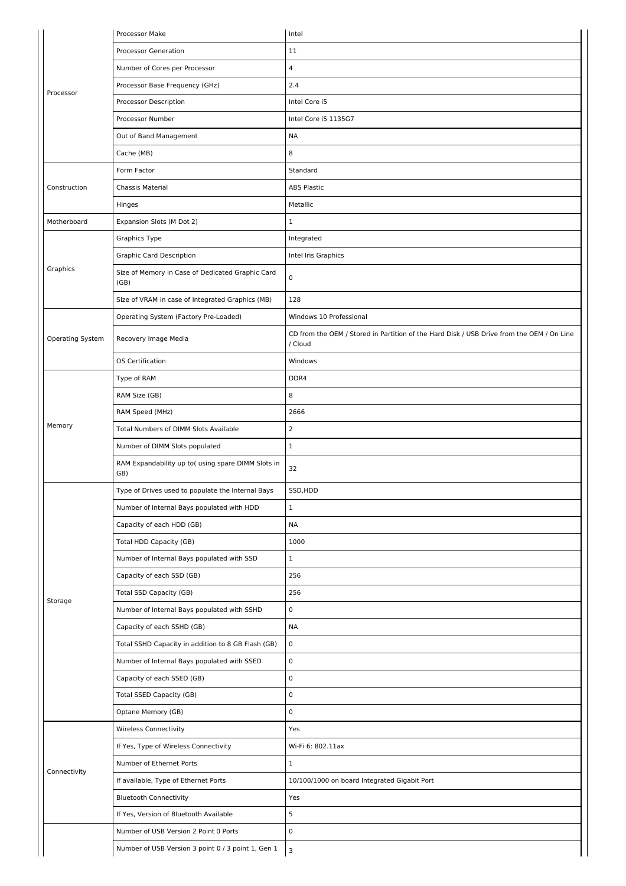|                  | Processor Make                                            | Intel                                                                                                |
|------------------|-----------------------------------------------------------|------------------------------------------------------------------------------------------------------|
|                  | <b>Processor Generation</b>                               | 11                                                                                                   |
|                  | Number of Cores per Processor                             | $\overline{4}$                                                                                       |
| Processor        | Processor Base Frequency (GHz)                            | 2.4                                                                                                  |
|                  | Processor Description                                     | Intel Core i5                                                                                        |
|                  | Processor Number                                          | Intel Core i5 1135G7                                                                                 |
|                  | Out of Band Management                                    | <b>NA</b>                                                                                            |
|                  | Cache (MB)                                                | 8                                                                                                    |
|                  | Form Factor                                               | Standard                                                                                             |
| Construction     | Chassis Material                                          | <b>ABS Plastic</b>                                                                                   |
|                  | Hinges                                                    | Metallic                                                                                             |
| Motherboard      | Expansion Slots (M Dot 2)                                 | $\mathbf 1$                                                                                          |
|                  | Graphics Type                                             | Integrated                                                                                           |
|                  | <b>Graphic Card Description</b>                           | Intel Iris Graphics                                                                                  |
| Graphics         | Size of Memory in Case of Dedicated Graphic Card<br>(GB)  | $\mathsf 0$                                                                                          |
|                  | Size of VRAM in case of Integrated Graphics (MB)          | 128                                                                                                  |
|                  | Operating System (Factory Pre-Loaded)                     | Windows 10 Professional                                                                              |
| Operating System | Recovery Image Media                                      | CD from the OEM / Stored in Partition of the Hard Disk / USB Drive from the OEM / On Line<br>/ Cloud |
|                  | OS Certification                                          | Windows                                                                                              |
|                  | Type of RAM                                               | DDR4                                                                                                 |
|                  | RAM Size (GB)                                             | 8                                                                                                    |
|                  | RAM Speed (MHz)                                           | 2666                                                                                                 |
| Memory           | Total Numbers of DIMM Slots Available                     | 2                                                                                                    |
|                  | Number of DIMM Slots populated                            | $\mathbf{1}$                                                                                         |
|                  | RAM Expandability up to( using spare DIMM Slots in<br>GB) | 32                                                                                                   |
|                  | Type of Drives used to populate the Internal Bays         | SSD, HDD                                                                                             |
|                  | Number of Internal Bays populated with HDD                | $\mathbf{1}$                                                                                         |
|                  | Capacity of each HDD (GB)                                 | <b>NA</b>                                                                                            |
|                  | Total HDD Capacity (GB)                                   | 1000                                                                                                 |
|                  | Number of Internal Bays populated with SSD                | $\mathbf 1$                                                                                          |
|                  | Capacity of each SSD (GB)                                 | 256                                                                                                  |
|                  | <b>Total SSD Capacity (GB)</b>                            | 256                                                                                                  |
| Storage          | Number of Internal Bays populated with SSHD               | $\pmb{0}$                                                                                            |
|                  | Capacity of each SSHD (GB)                                | <b>NA</b>                                                                                            |
|                  | Total SSHD Capacity in addition to 8 GB Flash (GB)        | $\mathsf 0$                                                                                          |
|                  | Number of Internal Bays populated with SSED               | $\mathsf 0$                                                                                          |
|                  | Capacity of each SSED (GB)                                | 0                                                                                                    |
|                  | <b>Total SSED Capacity (GB)</b>                           | $\mathsf 0$                                                                                          |
|                  | Optane Memory (GB)                                        | $\mathsf 0$                                                                                          |
|                  | <b>Wireless Connectivity</b>                              | Yes                                                                                                  |
|                  | If Yes, Type of Wireless Connectivity                     | Wi-Fi 6: 802.11ax                                                                                    |
|                  | Number of Ethernet Ports                                  | $\mathbf{1}$                                                                                         |
| Connectivity     | If available, Type of Ethernet Ports                      | 10/100/1000 on board Integrated Gigabit Port                                                         |
|                  | <b>Bluetooth Connectivity</b>                             | Yes                                                                                                  |
|                  | If Yes, Version of Bluetooth Available                    | 5                                                                                                    |
|                  | Number of USB Version 2 Point 0 Ports                     | $\mathsf 0$                                                                                          |
|                  | Number of USB Version 3 point 0 / 3 point 1, Gen 1        | $\overline{\mathbf{3}}$                                                                              |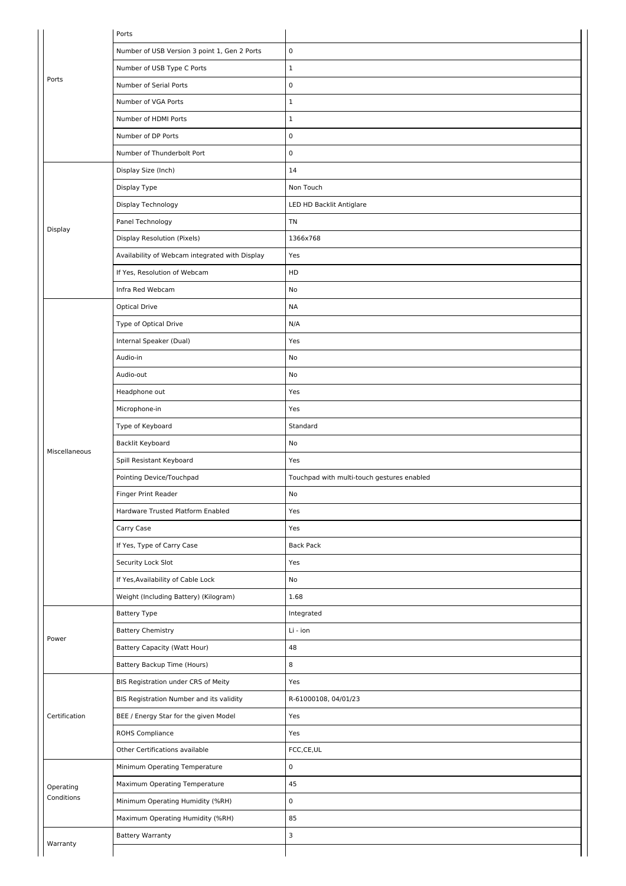|               | Ports                                          |                                            |
|---------------|------------------------------------------------|--------------------------------------------|
|               | Number of USB Version 3 point 1, Gen 2 Ports   | $\pmb{0}$                                  |
|               | Number of USB Type C Ports                     | $\mathbf 1$                                |
| Ports         | Number of Serial Ports                         | $\pmb{0}$                                  |
|               | Number of VGA Ports                            | $\mathbf 1$                                |
|               | Number of HDMI Ports                           | $\mathbf 1$                                |
|               | Number of DP Ports                             | $\pmb{0}$                                  |
|               | Number of Thunderbolt Port                     | $\mathsf 0$                                |
|               | Display Size (Inch)                            | 14                                         |
|               | Display Type                                   | Non Touch                                  |
|               | Display Technology                             | LED HD Backlit Antiglare                   |
| Display       | Panel Technology                               | TN                                         |
|               | <b>Display Resolution (Pixels)</b>             | 1366x768                                   |
|               | Availability of Webcam integrated with Display | Yes                                        |
|               | If Yes, Resolution of Webcam                   | HD                                         |
|               | Infra Red Webcam                               | No                                         |
|               | <b>Optical Drive</b>                           | <b>NA</b>                                  |
|               | Type of Optical Drive                          | N/A                                        |
|               | Internal Speaker (Dual)                        | Yes                                        |
|               | Audio-in                                       | No                                         |
|               | Audio-out                                      | No                                         |
|               | Headphone out                                  | Yes                                        |
|               | Microphone-in                                  | Yes                                        |
|               | Type of Keyboard                               | Standard                                   |
| Miscellaneous | Backlit Keyboard                               | No                                         |
|               | Spill Resistant Keyboard                       | Yes                                        |
|               | Pointing Device/Touchpad                       | Touchpad with multi-touch gestures enabled |
|               | Finger Print Reader                            | No                                         |
|               | Hardware Trusted Platform Enabled              | Yes                                        |
|               | Carry Case                                     | Yes                                        |
|               | If Yes, Type of Carry Case                     | <b>Back Pack</b>                           |
|               | Security Lock Slot                             | Yes                                        |
|               | If Yes, Availability of Cable Lock             | No                                         |
|               | Weight (Including Battery) (Kilogram)          | 1.68                                       |
|               | <b>Battery Type</b>                            | Integrated                                 |
| Power         | <b>Battery Chemistry</b>                       | Li - ion                                   |
|               | <b>Battery Capacity (Watt Hour)</b>            | 48                                         |
|               | Battery Backup Time (Hours)                    | 8                                          |
|               | BIS Registration under CRS of Meity            | Yes                                        |
|               | BIS Registration Number and its validity       | R-61000108, 04/01/23                       |
| Certification | BEE / Energy Star for the given Model          | Yes                                        |
|               | ROHS Compliance                                | Yes                                        |
|               | Other Certifications available                 | FCC,CE,UL                                  |
|               | Minimum Operating Temperature                  | $\pmb{0}$                                  |
| Operating     | Maximum Operating Temperature                  | 45                                         |
| Conditions    | Minimum Operating Humidity (%RH)               | $\pmb{0}$                                  |
|               | Maximum Operating Humidity (%RH)               | 85                                         |
| Warranty      | <b>Battery Warranty</b>                        | $\mathsf 3$                                |
|               |                                                |                                            |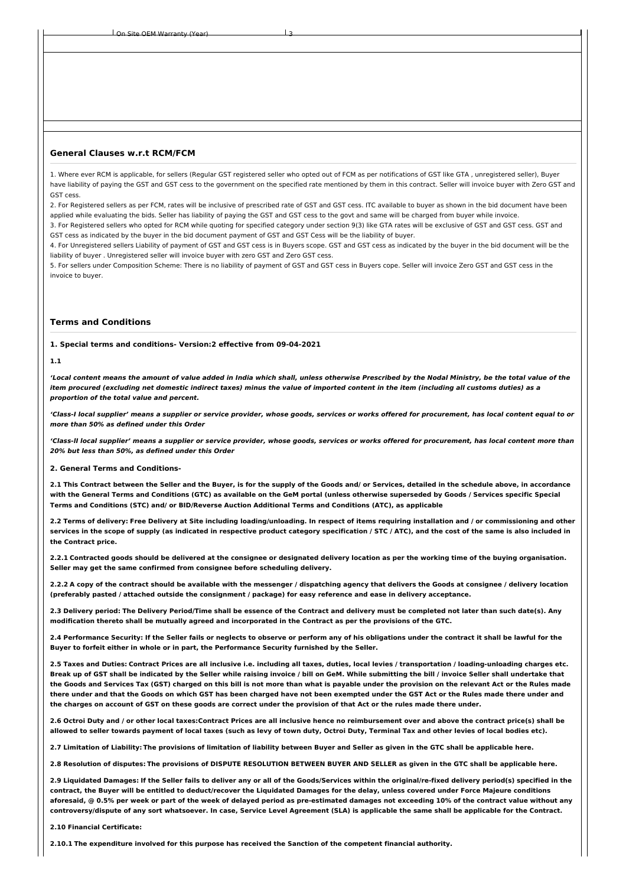Site OEM Warranty (Year)

### **General Clauses w.r.t RCM/FCM**

1. Where ever RCM is applicable, for sellers (Regular GST registered seller who opted out of FCM as per notifications of GST like GTA , unregistered seller), Buyer have liability of paying the GST and GST cess to the government on the specified rate mentioned by them in this contract. Seller will invoice buyer with Zero GST and GST cess.

2. For Registered sellers as per FCM, rates will be inclusive of prescribed rate of GST and GST cess. ITC available to buyer as shown in the bid document have been applied while evaluating the bids. Seller has liability of paying the GST and GST cess to the govt and same will be charged from buyer while invoice.

3. For Registered sellers who opted for RCM while quoting for specified category under section 9(3) like GTA rates will be exclusive of GST and GST cess. GST and GST cess as indicated by the buyer in the bid document payment of GST and GST Cess will be the liability of buyer.

4. For Unregistered sellers Liability of payment of GST and GST cess is in Buyers scope. GST and GST cess as indicated by the buyer in the bid document will be the liability of buyer . Unregistered seller will invoice buyer with zero GST and Zero GST cess.

5. For sellers under Composition Scheme: There is no liability of payment of GST and GST cess in Buyers cope. Seller will invoice Zero GST and GST cess in the invoice to buyer.

## **Terms and Conditions**

**1. Special terms and conditions- Version:2 effective from 09-04-2021**

#### **1.1**

'Local content means the amount of value added in India which shall, unless otherwise Prescribed by the Nodal Ministry, be the total value of the item procured (excluding net domestic indirect taxes) minus the value of imported content in the item (including all customs duties) as a **proportion of the total value and percent.**

'Class-I local supplier' means a supplier or service provider, whose goods, services or works offered for procurement, has local content equal to or **more than 50% as defined under this Order**

'Class-II local supplier' means a supplier or service provider, whose goods, services or works offered for procurement, has local content more than **20% but less than 50%, as defined under this Order**

#### **2. General Terms and Conditions-**

2.1 This Contract between the Seller and the Buyer, is for the supply of the Goods and/ or Services, detailed in the schedule above, in accordance with the General Terms and Conditions (GTC) as available on the GeM portal (unless otherwise superseded by Goods / Services specific Special **Terms and Conditions (STC) and/ or BID/Reverse Auction Additional Terms and Conditions (ATC), as applicable**

2.2 Terms of delivery: Free Delivery at Site including loading/unloading. In respect of items requiring installation and / or commissioning and other services in the scope of supply (as indicated in respective product category specification / STC / ATC), and the cost of the same is also included in **the Contract price.**

2.2.1 Contracted goods should be delivered at the consignee or designated delivery location as per the working time of the buying organisation. **Seller may get the same confirmed from consignee before scheduling delivery.**

2.2.2 A copy of the contract should be available with the messenger / dispatching agency that delivers the Goods at consignee / delivery location (preferably pasted / attached outside the consignment / package) for easy reference and ease in delivery acceptance.

2.3 Delivery period: The Delivery Period/Time shall be essence of the Contract and delivery must be completed not later than such date(s). Any modification thereto shall be mutually agreed and incorporated in the Contract as per the provisions of the GTC.

2.4 Performance Security: If the Seller fails or neglects to observe or perform any of his obligations under the contract it shall be lawful for the **Buyer to forfeit either in whole or in part, the Performance Security furnished by the Seller.**

2.5 Taxes and Duties: Contract Prices are all inclusive i.e. including all taxes, duties, local levies / transportation / loading-unloading charges etc. Break up of GST shall be indicated by the Seller while raising invoice / bill on GeM. While submitting the bill / invoice Seller shall undertake that the Goods and Services Tax (GST) charged on this bill is not more than what is payable under the provision on the relevant Act or the Rules made there under and that the Goods on which GST has been charged have not been exempted under the GST Act or the Rules made there under and the charges on account of GST on these goods are correct under the provision of that Act or the rules made there under.

2.6 Octroi Duty and / or other local taxes:Contract Prices are all inclusive hence no reimbursement over and above the contract price(s) shall be allowed to seller towards payment of local taxes (such as levy of town duty, Octroi Duty, Terminal Tax and other levies of local bodies etc).

2.7 Limitation of Liability: The provisions of limitation of liability between Buyer and Seller as given in the GTC shall be applicable here.

2.8 Resolution of disputes: The provisions of DISPUTE RESOLUTION BETWEEN BUYER AND SELLER as given in the GTC shall be applicable here.

2.9 Liquidated Damages: If the Seller fails to deliver any or all of the Goods/Services within the original/re-fixed delivery period(s) specified in the contract, the Buyer will be entitled to deduct/recover the Liquidated Damages for the delay, unless covered under Force Majeure conditions aforesaid, @ 0.5% per week or part of the week of delayed period as pre-estimated damages not exceeding 10% of the contract value without any controversy/dispute of any sort whatsoever. In case, Service Level Agreement (SLA) is applicable the same shall be applicable for the Contract.

**2.10 Financial Certificate:**

**2.10.1 The expenditure involved for this purpose has received the Sanction of the competent financial authority.**